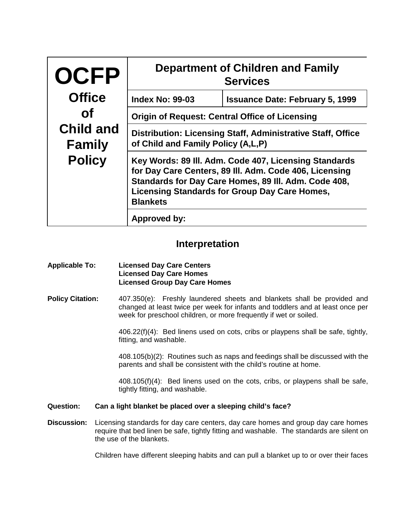| <b>OCFP</b>                                        | <b>Department of Children and Family</b><br><b>Services</b>                                                                                                                                                                                        |                                        |  |
|----------------------------------------------------|----------------------------------------------------------------------------------------------------------------------------------------------------------------------------------------------------------------------------------------------------|----------------------------------------|--|
| <b>Office</b>                                      | <b>Index No: 99-03</b>                                                                                                                                                                                                                             | <b>Issuance Date: February 5, 1999</b> |  |
| <b>of</b>                                          | <b>Origin of Request: Central Office of Licensing</b>                                                                                                                                                                                              |                                        |  |
| <b>Child and</b><br><b>Family</b><br><b>Policy</b> | Distribution: Licensing Staff, Administrative Staff, Office<br>of Child and Family Policy (A,L,P)                                                                                                                                                  |                                        |  |
|                                                    | Key Words: 89 III. Adm. Code 407, Licensing Standards<br>for Day Care Centers, 89 III. Adm. Code 406, Licensing<br>Standards for Day Care Homes, 89 III. Adm. Code 408,<br><b>Licensing Standards for Group Day Care Homes,</b><br><b>Blankets</b> |                                        |  |
| Approved by:                                       |                                                                                                                                                                                                                                                    |                                        |  |

## **Interpretation**

## **Applicable To: Licensed Day Care Centers Licensed Day Care Homes Licensed Group Day Care Homes**

**Policy Citation:** 407.350(e): Freshly laundered sheets and blankets shall be provided and changed at least twice per week for infants and toddlers and at least once per week for preschool children, or more frequently if wet or soiled.

> 406.22(f)(4): Bed linens used on cots, cribs or playpens shall be safe, tightly, fitting, and washable.

> 408.105(b)(2): Routines such as naps and feedings shall be discussed with the parents and shall be consistent with the child's routine at home.

> 408.105(f)(4): Bed linens used on the cots, cribs, or playpens shall be safe, tightly fitting, and washable.

## **Question: Can a light blanket be placed over a sleeping child's face?**

**Discussion:** Licensing standards for day care centers, day care homes and group day care homes require that bed linen be safe, tightly fitting and washable. The standards are silent on the use of the blankets.

Children have different sleeping habits and can pull a blanket up to or over their faces